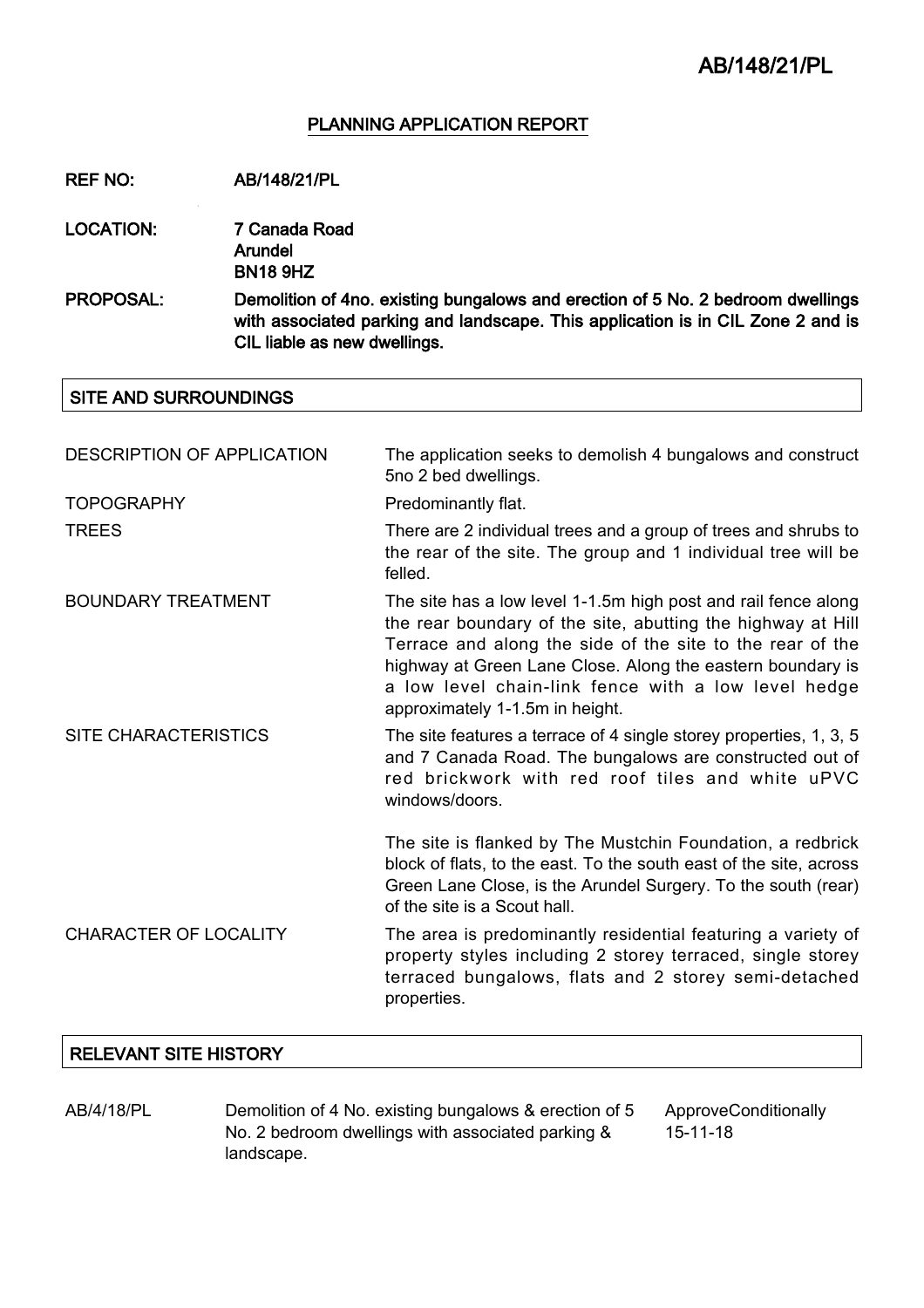## PLANNING APPLICATION REPORT

REF NO: AB/148/21/PL

LOCATION: 7 Canada Road Arundel

BN18 9HZ

PROPOSAL: Demolition of 4no. existing bungalows and erection of 5 No. 2 bedroom dwellings with associated parking and landscape. This application is in CIL Zone 2 and is CIL liable as new dwellings.

## SITE AND SURROUNDINGS

| <b>DESCRIPTION OF APPLICATION</b> | The application seeks to demolish 4 bungalows and construct<br>5no 2 bed dwellings.                                                                                                                                                                                                                                                                |  |
|-----------------------------------|----------------------------------------------------------------------------------------------------------------------------------------------------------------------------------------------------------------------------------------------------------------------------------------------------------------------------------------------------|--|
| <b>TOPOGRAPHY</b>                 | Predominantly flat.                                                                                                                                                                                                                                                                                                                                |  |
| <b>TREES</b>                      | There are 2 individual trees and a group of trees and shrubs to<br>the rear of the site. The group and 1 individual tree will be<br>felled.                                                                                                                                                                                                        |  |
| <b>BOUNDARY TREATMENT</b>         | The site has a low level 1-1.5m high post and rail fence along<br>the rear boundary of the site, abutting the highway at Hill<br>Terrace and along the side of the site to the rear of the<br>highway at Green Lane Close. Along the eastern boundary is<br>a low level chain-link fence with a low level hedge<br>approximately 1-1.5m in height. |  |
| <b>SITE CHARACTERISTICS</b>       | The site features a terrace of 4 single storey properties, 1, 3, 5<br>and 7 Canada Road. The bungalows are constructed out of<br>red brickwork with red roof tiles and white uPVC<br>windows/doors.                                                                                                                                                |  |
|                                   | The site is flanked by The Mustchin Foundation, a redbrick<br>block of flats, to the east. To the south east of the site, across<br>Green Lane Close, is the Arundel Surgery. To the south (rear)<br>of the site is a Scout hall.                                                                                                                  |  |
| <b>CHARACTER OF LOCALITY</b>      | The area is predominantly residential featuring a variety of<br>property styles including 2 storey terraced, single storey<br>terraced bungalows, flats and 2 storey semi-detached<br>properties.                                                                                                                                                  |  |

# RELEVANT SITE HISTORY

AB/4/18/PL Demolition of 4 No. existing bungalows & erection of 5 No. 2 bedroom dwellings with associated parking & landscape.

ApproveConditionally 15-11-18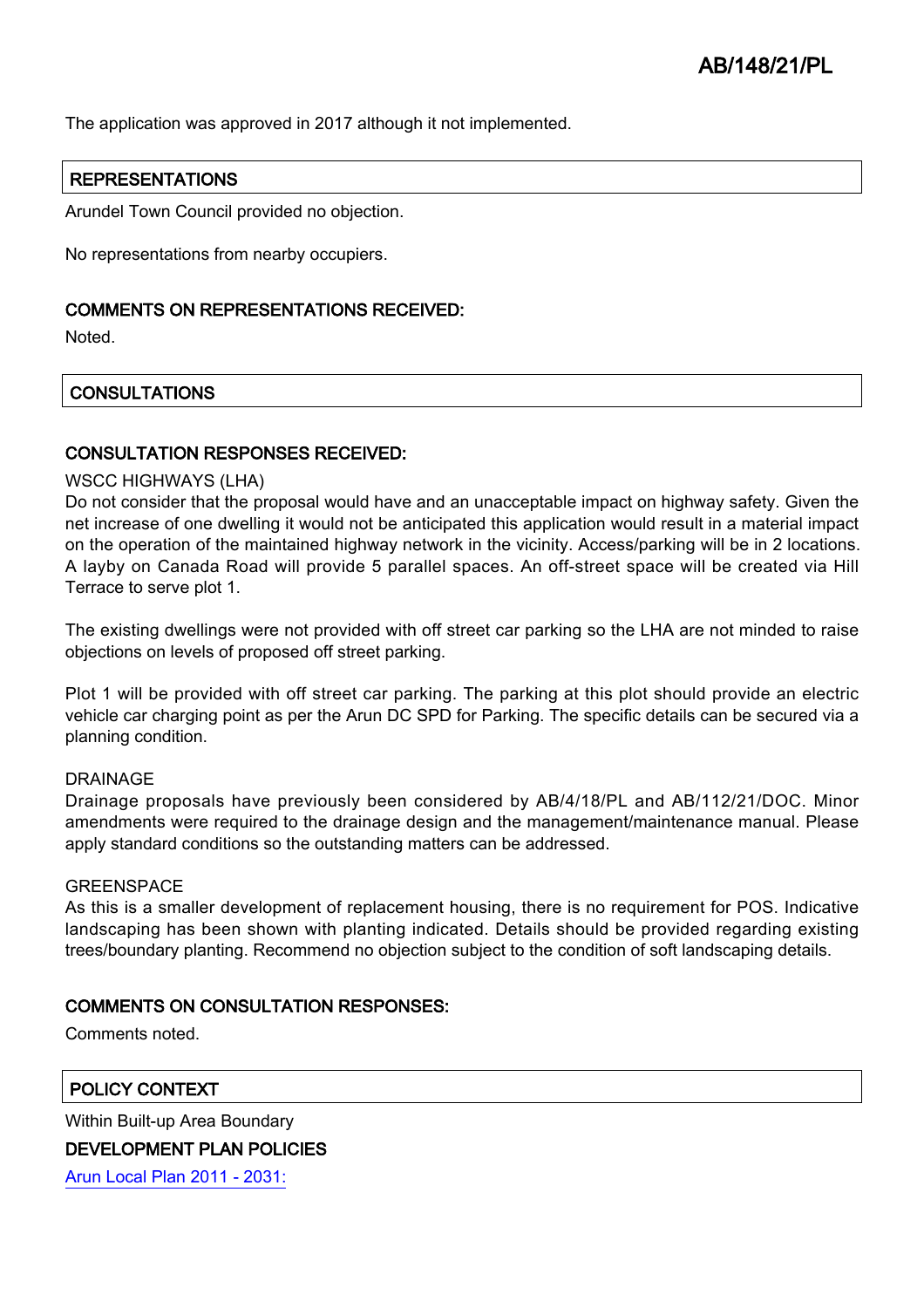The application was approved in 2017 although it not implemented.

## REPRESENTATIONS

Arundel Town Council provided no objection.

No representations from nearby occupiers.

### COMMENTS ON REPRESENTATIONS RECEIVED:

Noted.

## **CONSULTATIONS**

## CONSULTATION RESPONSES RECEIVED:

#### WSCC HIGHWAYS (LHA)

Do not consider that the proposal would have and an unacceptable impact on highway safety. Given the net increase of one dwelling it would not be anticipated this application would result in a material impact on the operation of the maintained highway network in the vicinity. Access/parking will be in 2 locations. A layby on Canada Road will provide 5 parallel spaces. An off-street space will be created via Hill Terrace to serve plot 1.

The existing dwellings were not provided with off street car parking so the LHA are not minded to raise objections on levels of proposed off street parking.

Plot 1 will be provided with off street car parking. The parking at this plot should provide an electric vehicle car charging point as per the Arun DC SPD for Parking. The specific details can be secured via a planning condition.

#### DRAINAGE

Drainage proposals have previously been considered by AB/4/18/PL and AB/112/21/DOC. Minor amendments were required to the drainage design and the management/maintenance manual. Please apply standard conditions so the outstanding matters can be addressed.

#### **GREENSPACE**

As this is a smaller development of replacement housing, there is no requirement for POS. Indicative landscaping has been shown with planting indicated. Details should be provided regarding existing trees/boundary planting. Recommend no objection subject to the condition of soft landscaping details.

## COMMENTS ON CONSULTATION RESPONSES:

Comments noted.

POLICY CONTEXT

Within Built-up Area Boundary DEVELOPMENT PLAN POLICIES

[Arun Local Plan 2011 - 2031:](https://www.arun.gov.uk/adopted-local-plan)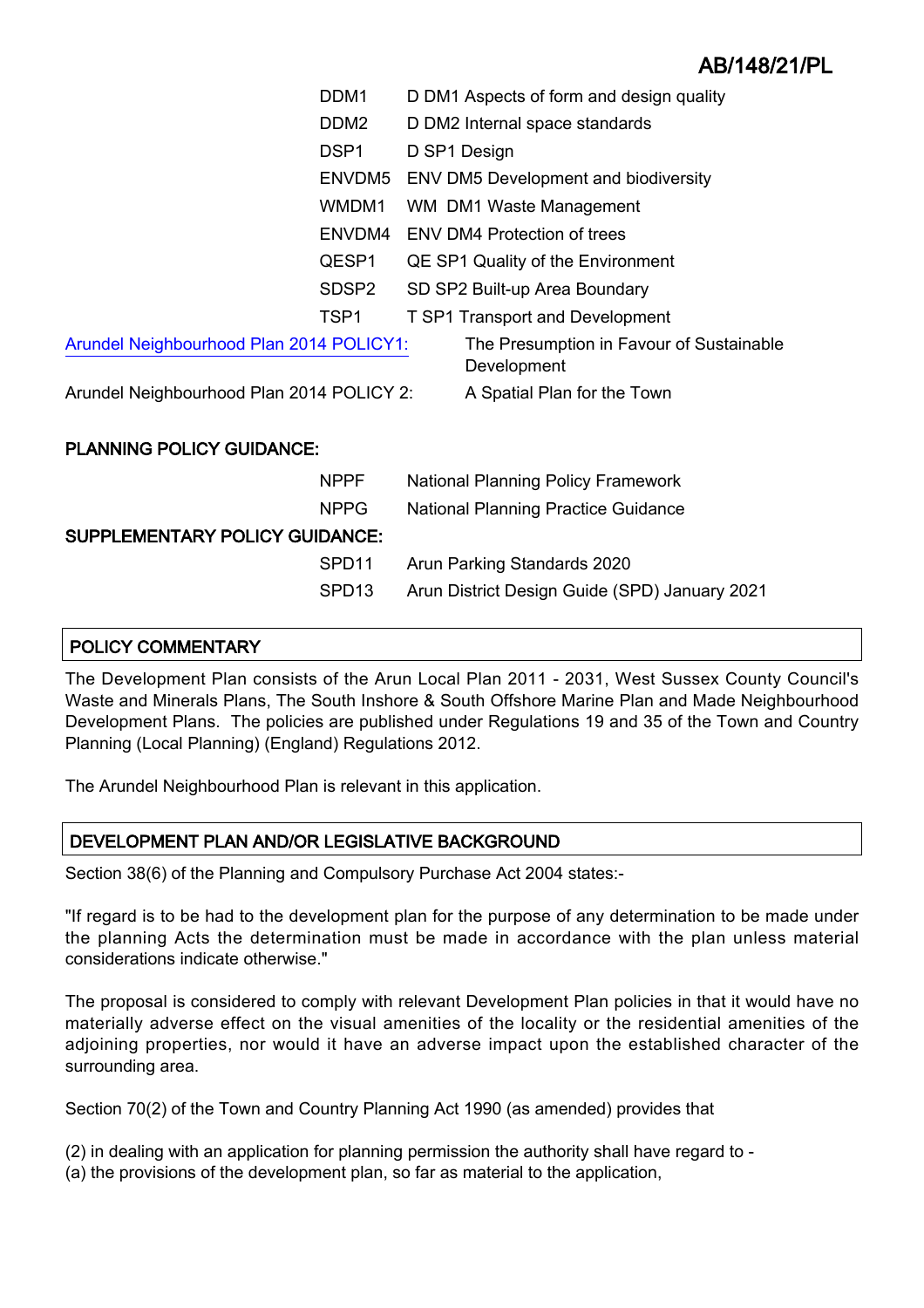|                                           | DDM <sub>1</sub>  | D DM1 Aspects of form and design quality                |  |
|-------------------------------------------|-------------------|---------------------------------------------------------|--|
|                                           | DDM <sub>2</sub>  | D DM2 Internal space standards                          |  |
|                                           | DSP <sub>1</sub>  | D SP1 Design                                            |  |
|                                           | ENVDM5            | <b>ENV DM5 Development and biodiversity</b>             |  |
|                                           | WMDM1             | WM DM1 Waste Management                                 |  |
|                                           | ENVDM4            | <b>ENV DM4 Protection of trees</b>                      |  |
|                                           | QESP1             | QE SP1 Quality of the Environment                       |  |
|                                           | SDSP2             | SD SP2 Built-up Area Boundary                           |  |
|                                           | TSP1              | <b>T SP1 Transport and Development</b>                  |  |
| Arundel Neighbourhood Plan 2014 POLICY1:  |                   | The Presumption in Favour of Sustainable<br>Development |  |
| Arundel Neighbourhood Plan 2014 POLICY 2: |                   | A Spatial Plan for the Town                             |  |
| <b>PLANNING POLICY GUIDANCE:</b>          |                   |                                                         |  |
|                                           | <b>NPPF</b>       | <b>National Planning Policy Framework</b>               |  |
|                                           | <b>NPPG</b>       | <b>National Planning Practice Guidance</b>              |  |
| SUPPLEMENTARY POLICY GUIDANCE:            |                   |                                                         |  |
|                                           | SPD <sub>11</sub> | Arun Parking Standards 2020                             |  |

## SPD13 Arun District Design Guide (SPD) January 2021

## POLICY COMMENTARY

The Development Plan consists of the Arun Local Plan 2011 - 2031, West Sussex County Council's Waste and Minerals Plans, The South Inshore & South Offshore Marine Plan and Made Neighbourhood Development Plans. The policies are published under Regulations 19 and 35 of the Town and Country Planning (Local Planning) (England) Regulations 2012.

The Arundel Neighbourhood Plan is relevant in this application.

# DEVELOPMENT PLAN AND/OR LEGISLATIVE BACKGROUND

Section 38(6) of the Planning and Compulsory Purchase Act 2004 states:-

"If regard is to be had to the development plan for the purpose of any determination to be made under the planning Acts the determination must be made in accordance with the plan unless material considerations indicate otherwise."

The proposal is considered to comply with relevant Development Plan policies in that it would have no materially adverse effect on the visual amenities of the locality or the residential amenities of the adjoining properties, nor would it have an adverse impact upon the established character of the surrounding area.

Section 70(2) of the Town and Country Planning Act 1990 (as amended) provides that

- (2) in dealing with an application for planning permission the authority shall have regard to -
- (a) the provisions of the development plan, so far as material to the application,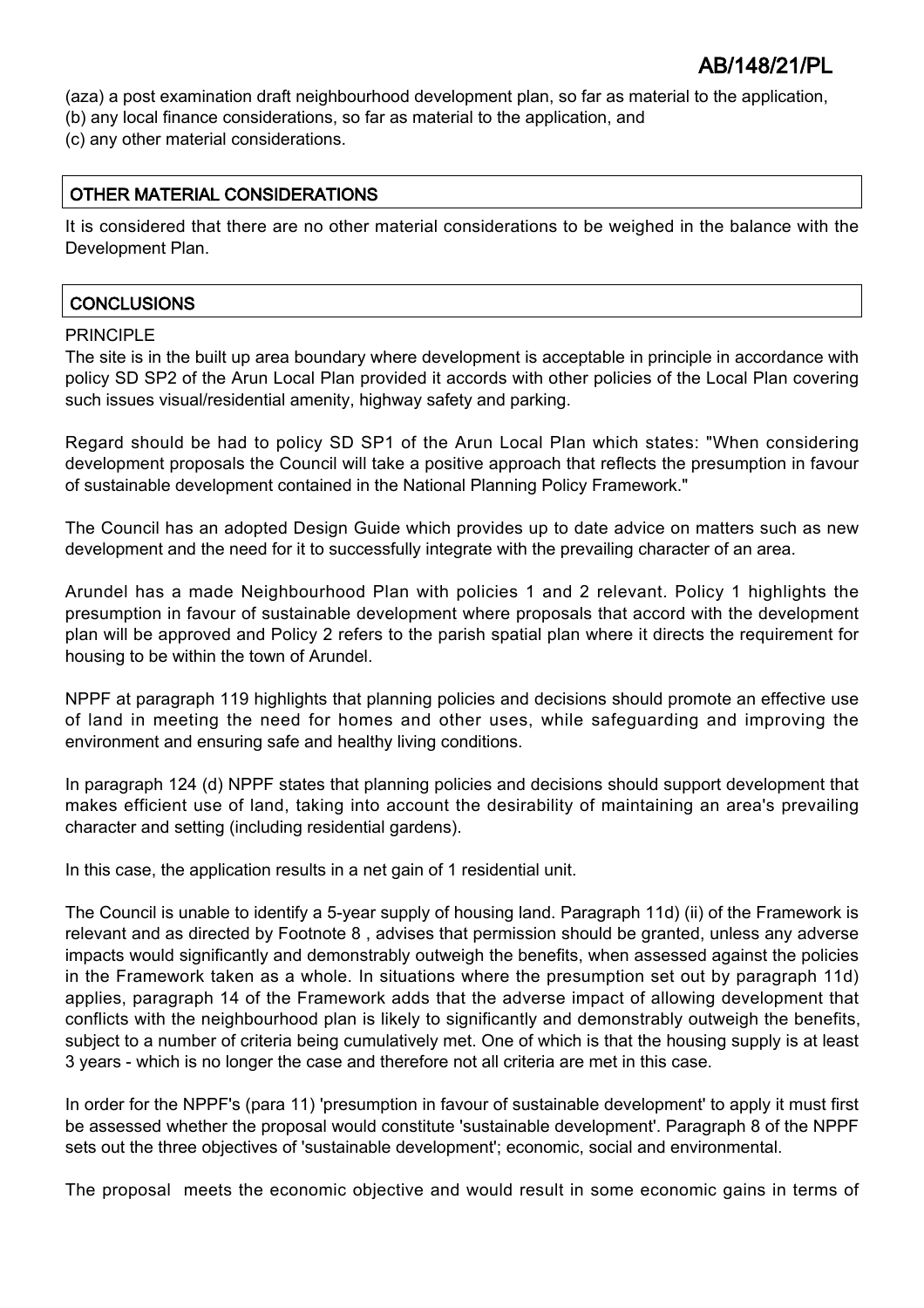(aza) a post examination draft neighbourhood development plan, so far as material to the application,

- (b) any local finance considerations, so far as material to the application, and
- (c) any other material considerations.

## OTHER MATERIAL CONSIDERATIONS

It is considered that there are no other material considerations to be weighed in the balance with the Development Plan.

# **CONCLUSIONS**

## PRINCIPI F

The site is in the built up area boundary where development is acceptable in principle in accordance with policy SD SP2 of the Arun Local Plan provided it accords with other policies of the Local Plan covering such issues visual/residential amenity, highway safety and parking.

Regard should be had to policy SD SP1 of the Arun Local Plan which states: "When considering development proposals the Council will take a positive approach that reflects the presumption in favour of sustainable development contained in the National Planning Policy Framework."

The Council has an adopted Design Guide which provides up to date advice on matters such as new development and the need for it to successfully integrate with the prevailing character of an area.

Arundel has a made Neighbourhood Plan with policies 1 and 2 relevant. Policy 1 highlights the presumption in favour of sustainable development where proposals that accord with the development plan will be approved and Policy 2 refers to the parish spatial plan where it directs the requirement for housing to be within the town of Arundel.

NPPF at paragraph 119 highlights that planning policies and decisions should promote an effective use of land in meeting the need for homes and other uses, while safeguarding and improving the environment and ensuring safe and healthy living conditions.

In paragraph 124 (d) NPPF states that planning policies and decisions should support development that makes efficient use of land, taking into account the desirability of maintaining an area's prevailing character and setting (including residential gardens).

In this case, the application results in a net gain of 1 residential unit.

The Council is unable to identify a 5-year supply of housing land. Paragraph 11d) (ii) of the Framework is relevant and as directed by Footnote 8 , advises that permission should be granted, unless any adverse impacts would significantly and demonstrably outweigh the benefits, when assessed against the policies in the Framework taken as a whole. In situations where the presumption set out by paragraph 11d) applies, paragraph 14 of the Framework adds that the adverse impact of allowing development that conflicts with the neighbourhood plan is likely to significantly and demonstrably outweigh the benefits, subject to a number of criteria being cumulatively met. One of which is that the housing supply is at least 3 years - which is no longer the case and therefore not all criteria are met in this case.

In order for the NPPF's (para 11) 'presumption in favour of sustainable development' to apply it must first be assessed whether the proposal would constitute 'sustainable development'. Paragraph 8 of the NPPF sets out the three objectives of 'sustainable development'; economic, social and environmental.

The proposal meets the economic objective and would result in some economic gains in terms of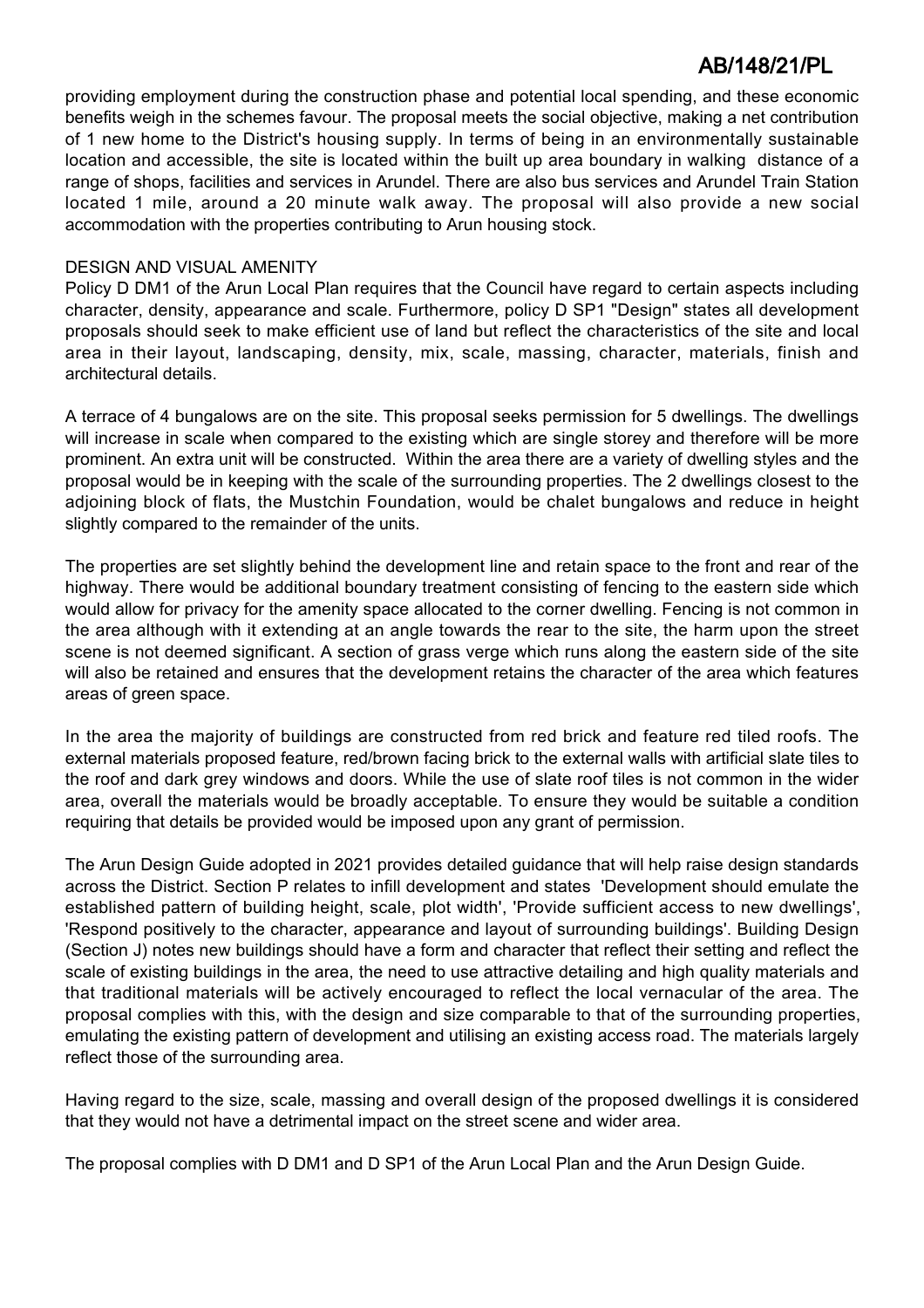providing employment during the construction phase and potential local spending, and these economic benefits weigh in the schemes favour. The proposal meets the social objective, making a net contribution of 1 new home to the District's housing supply. In terms of being in an environmentally sustainable location and accessible, the site is located within the built up area boundary in walking distance of a range of shops, facilities and services in Arundel. There are also bus services and Arundel Train Station located 1 mile, around a 20 minute walk away. The proposal will also provide a new social accommodation with the properties contributing to Arun housing stock.

## DESIGN AND VISUAL AMENITY

Policy D DM1 of the Arun Local Plan requires that the Council have regard to certain aspects including character, density, appearance and scale. Furthermore, policy D SP1 "Design" states all development proposals should seek to make efficient use of land but reflect the characteristics of the site and local area in their layout, landscaping, density, mix, scale, massing, character, materials, finish and architectural details.

A terrace of 4 bungalows are on the site. This proposal seeks permission for 5 dwellings. The dwellings will increase in scale when compared to the existing which are single storey and therefore will be more prominent. An extra unit will be constructed. Within the area there are a variety of dwelling styles and the proposal would be in keeping with the scale of the surrounding properties. The 2 dwellings closest to the adjoining block of flats, the Mustchin Foundation, would be chalet bungalows and reduce in height slightly compared to the remainder of the units.

The properties are set slightly behind the development line and retain space to the front and rear of the highway. There would be additional boundary treatment consisting of fencing to the eastern side which would allow for privacy for the amenity space allocated to the corner dwelling. Fencing is not common in the area although with it extending at an angle towards the rear to the site, the harm upon the street scene is not deemed significant. A section of grass verge which runs along the eastern side of the site will also be retained and ensures that the development retains the character of the area which features areas of green space.

In the area the majority of buildings are constructed from red brick and feature red tiled roofs. The external materials proposed feature, red/brown facing brick to the external walls with artificial slate tiles to the roof and dark grey windows and doors. While the use of slate roof tiles is not common in the wider area, overall the materials would be broadly acceptable. To ensure they would be suitable a condition requiring that details be provided would be imposed upon any grant of permission.

The Arun Design Guide adopted in 2021 provides detailed guidance that will help raise design standards across the District. Section P relates to infill development and states 'Development should emulate the established pattern of building height, scale, plot width', 'Provide sufficient access to new dwellings', 'Respond positively to the character, appearance and layout of surrounding buildings'. Building Design (Section J) notes new buildings should have a form and character that reflect their setting and reflect the scale of existing buildings in the area, the need to use attractive detailing and high quality materials and that traditional materials will be actively encouraged to reflect the local vernacular of the area. The proposal complies with this, with the design and size comparable to that of the surrounding properties, emulating the existing pattern of development and utilising an existing access road. The materials largely reflect those of the surrounding area.

Having regard to the size, scale, massing and overall design of the proposed dwellings it is considered that they would not have a detrimental impact on the street scene and wider area.

The proposal complies with D DM1 and D SP1 of the Arun Local Plan and the Arun Design Guide.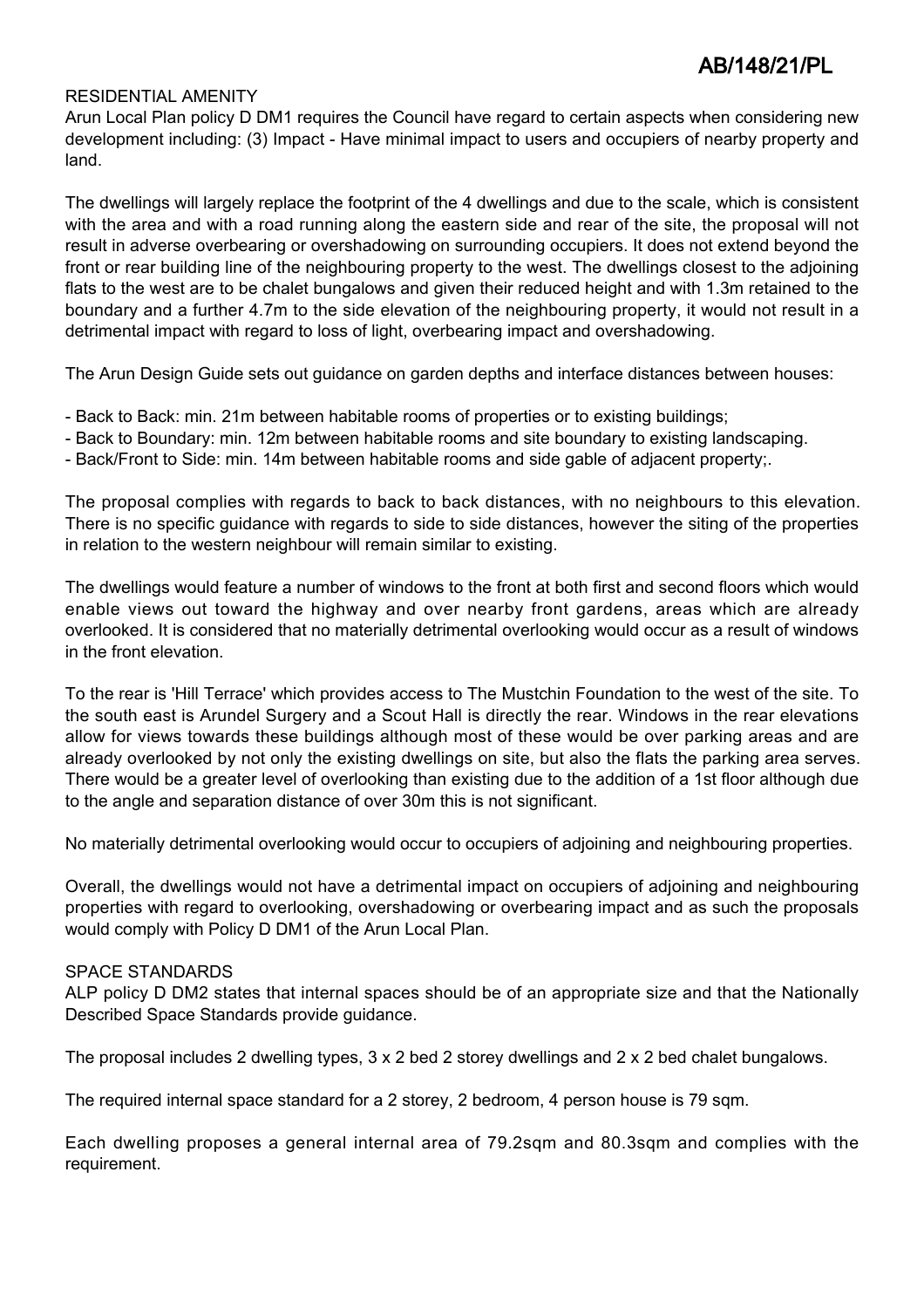### RESIDENTIAL AMENITY

Arun Local Plan policy D DM1 requires the Council have regard to certain aspects when considering new development including: (3) Impact - Have minimal impact to users and occupiers of nearby property and land.

The dwellings will largely replace the footprint of the 4 dwellings and due to the scale, which is consistent with the area and with a road running along the eastern side and rear of the site, the proposal will not result in adverse overbearing or overshadowing on surrounding occupiers. It does not extend beyond the front or rear building line of the neighbouring property to the west. The dwellings closest to the adjoining flats to the west are to be chalet bungalows and given their reduced height and with 1.3m retained to the boundary and a further 4.7m to the side elevation of the neighbouring property, it would not result in a detrimental impact with regard to loss of light, overbearing impact and overshadowing.

The Arun Design Guide sets out guidance on garden depths and interface distances between houses:

- Back to Back: min. 21m between habitable rooms of properties or to existing buildings;
- Back to Boundary: min. 12m between habitable rooms and site boundary to existing landscaping.
- Back/Front to Side: min. 14m between habitable rooms and side gable of adjacent property;.

The proposal complies with regards to back to back distances, with no neighbours to this elevation. There is no specific guidance with regards to side to side distances, however the siting of the properties in relation to the western neighbour will remain similar to existing.

The dwellings would feature a number of windows to the front at both first and second floors which would enable views out toward the highway and over nearby front gardens, areas which are already overlooked. It is considered that no materially detrimental overlooking would occur as a result of windows in the front elevation.

To the rear is 'Hill Terrace' which provides access to The Mustchin Foundation to the west of the site. To the south east is Arundel Surgery and a Scout Hall is directly the rear. Windows in the rear elevations allow for views towards these buildings although most of these would be over parking areas and are already overlooked by not only the existing dwellings on site, but also the flats the parking area serves. There would be a greater level of overlooking than existing due to the addition of a 1st floor although due to the angle and separation distance of over 30m this is not significant.

No materially detrimental overlooking would occur to occupiers of adjoining and neighbouring properties.

Overall, the dwellings would not have a detrimental impact on occupiers of adjoining and neighbouring properties with regard to overlooking, overshadowing or overbearing impact and as such the proposals would comply with Policy D DM1 of the Arun Local Plan.

#### SPACE STANDARDS

ALP policy D DM2 states that internal spaces should be of an appropriate size and that the Nationally Described Space Standards provide guidance.

The proposal includes 2 dwelling types, 3 x 2 bed 2 storey dwellings and 2 x 2 bed chalet bungalows.

The required internal space standard for a 2 storey, 2 bedroom, 4 person house is 79 sqm.

Each dwelling proposes a general internal area of 79.2sqm and 80.3sqm and complies with the requirement.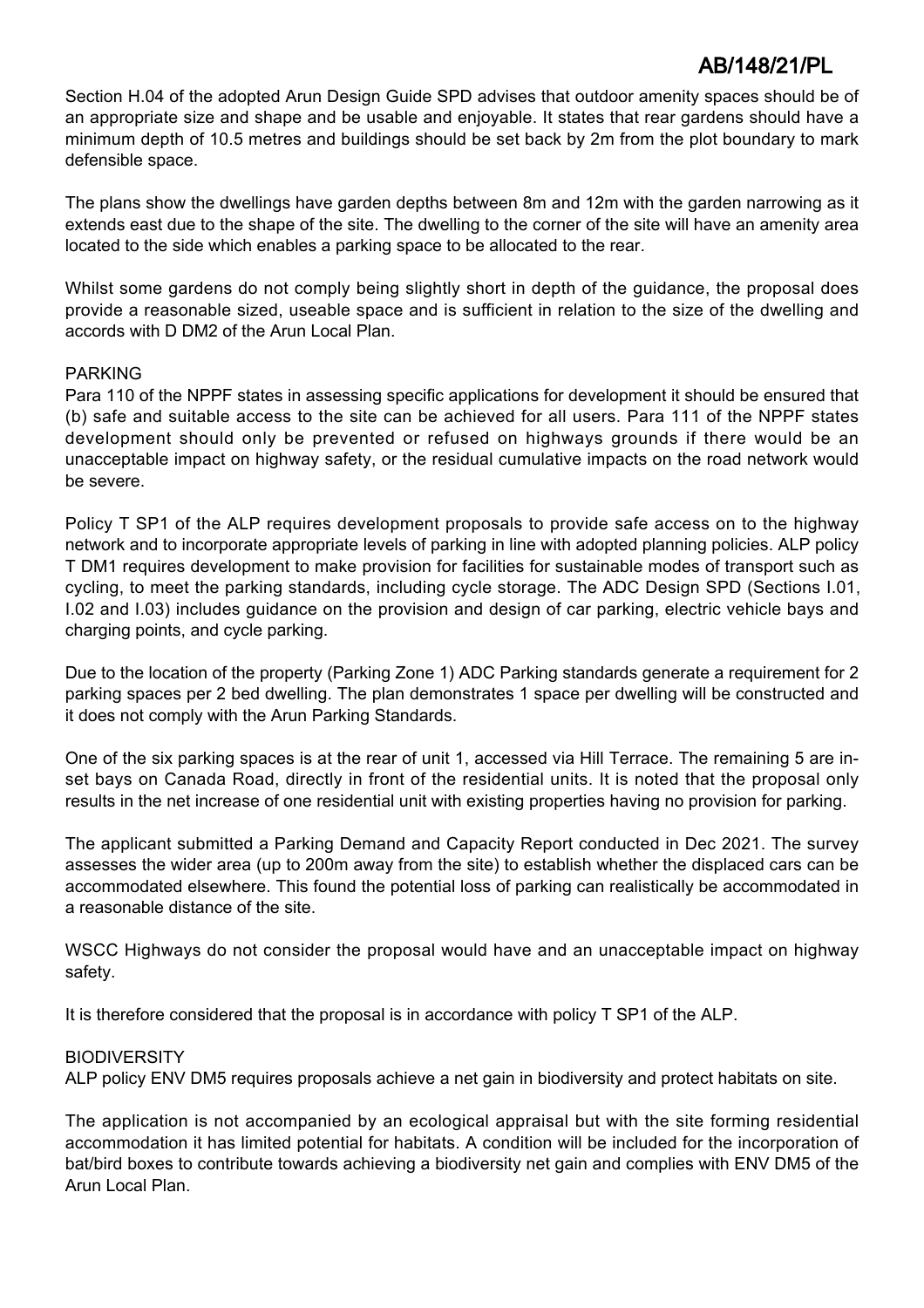Section H.04 of the adopted Arun Design Guide SPD advises that outdoor amenity spaces should be of an appropriate size and shape and be usable and enjoyable. It states that rear gardens should have a minimum depth of 10.5 metres and buildings should be set back by 2m from the plot boundary to mark defensible space.

The plans show the dwellings have garden depths between 8m and 12m with the garden narrowing as it extends east due to the shape of the site. The dwelling to the corner of the site will have an amenity area located to the side which enables a parking space to be allocated to the rear.

Whilst some gardens do not comply being slightly short in depth of the guidance, the proposal does provide a reasonable sized, useable space and is sufficient in relation to the size of the dwelling and accords with D DM2 of the Arun Local Plan.

## PARKING

Para 110 of the NPPF states in assessing specific applications for development it should be ensured that (b) safe and suitable access to the site can be achieved for all users. Para 111 of the NPPF states development should only be prevented or refused on highways grounds if there would be an unacceptable impact on highway safety, or the residual cumulative impacts on the road network would be severe.

Policy T SP1 of the ALP requires development proposals to provide safe access on to the highway network and to incorporate appropriate levels of parking in line with adopted planning policies. ALP policy T DM1 requires development to make provision for facilities for sustainable modes of transport such as cycling, to meet the parking standards, including cycle storage. The ADC Design SPD (Sections I.01, I.02 and I.03) includes guidance on the provision and design of car parking, electric vehicle bays and charging points, and cycle parking.

Due to the location of the property (Parking Zone 1) ADC Parking standards generate a requirement for 2 parking spaces per 2 bed dwelling. The plan demonstrates 1 space per dwelling will be constructed and it does not comply with the Arun Parking Standards.

One of the six parking spaces is at the rear of unit 1, accessed via Hill Terrace. The remaining 5 are inset bays on Canada Road, directly in front of the residential units. It is noted that the proposal only results in the net increase of one residential unit with existing properties having no provision for parking.

The applicant submitted a Parking Demand and Capacity Report conducted in Dec 2021. The survey assesses the wider area (up to 200m away from the site) to establish whether the displaced cars can be accommodated elsewhere. This found the potential loss of parking can realistically be accommodated in a reasonable distance of the site.

WSCC Highways do not consider the proposal would have and an unacceptable impact on highway safety.

It is therefore considered that the proposal is in accordance with policy T SP1 of the ALP.

## **BIODIVERSITY**

ALP policy ENV DM5 requires proposals achieve a net gain in biodiversity and protect habitats on site.

The application is not accompanied by an ecological appraisal but with the site forming residential accommodation it has limited potential for habitats. A condition will be included for the incorporation of bat/bird boxes to contribute towards achieving a biodiversity net gain and complies with ENV DM5 of the Arun Local Plan.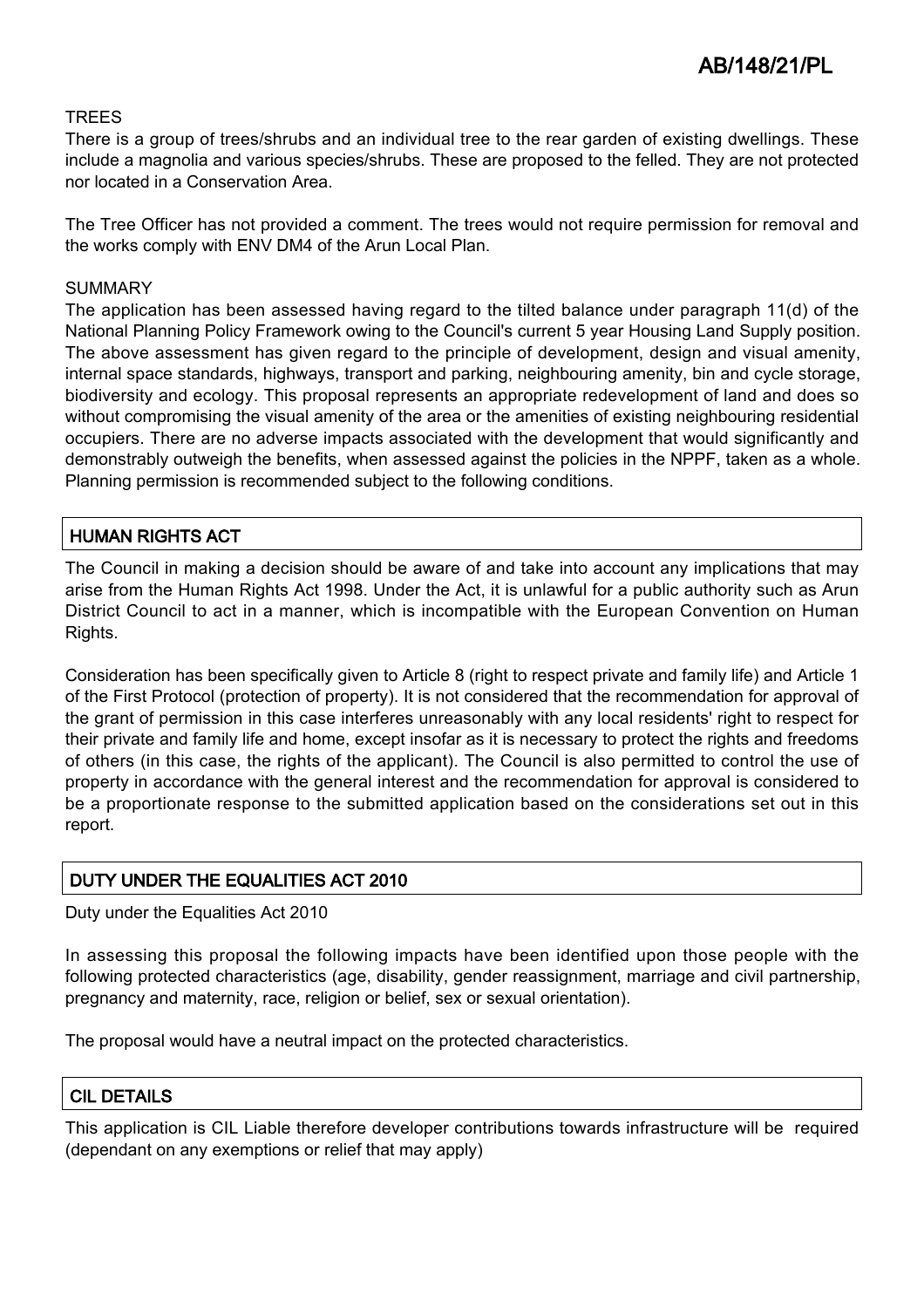## **TRFFS**

There is a group of trees/shrubs and an individual tree to the rear garden of existing dwellings. These include a magnolia and various species/shrubs. These are proposed to the felled. They are not protected nor located in a Conservation Area.

The Tree Officer has not provided a comment. The trees would not require permission for removal and the works comply with ENV DM4 of the Arun Local Plan.

#### SUMMARY

The application has been assessed having regard to the tilted balance under paragraph 11(d) of the National Planning Policy Framework owing to the Council's current 5 year Housing Land Supply position. The above assessment has given regard to the principle of development, design and visual amenity, internal space standards, highways, transport and parking, neighbouring amenity, bin and cycle storage, biodiversity and ecology. This proposal represents an appropriate redevelopment of land and does so without compromising the visual amenity of the area or the amenities of existing neighbouring residential occupiers. There are no adverse impacts associated with the development that would significantly and demonstrably outweigh the benefits, when assessed against the policies in the NPPF, taken as a whole. Planning permission is recommended subject to the following conditions.

## HUMAN RIGHTS ACT

The Council in making a decision should be aware of and take into account any implications that may arise from the Human Rights Act 1998. Under the Act, it is unlawful for a public authority such as Arun District Council to act in a manner, which is incompatible with the European Convention on Human Rights.

Consideration has been specifically given to Article 8 (right to respect private and family life) and Article 1 of the First Protocol (protection of property). It is not considered that the recommendation for approval of the grant of permission in this case interferes unreasonably with any local residents' right to respect for their private and family life and home, except insofar as it is necessary to protect the rights and freedoms of others (in this case, the rights of the applicant). The Council is also permitted to control the use of property in accordance with the general interest and the recommendation for approval is considered to be a proportionate response to the submitted application based on the considerations set out in this report.

## DUTY UNDER THE EQUALITIES ACT 2010

Duty under the Equalities Act 2010

In assessing this proposal the following impacts have been identified upon those people with the following protected characteristics (age, disability, gender reassignment, marriage and civil partnership, pregnancy and maternity, race, religion or belief, sex or sexual orientation).

The proposal would have a neutral impact on the protected characteristics.

## CIL DETAILS

This application is CIL Liable therefore developer contributions towards infrastructure will be required (dependant on any exemptions or relief that may apply)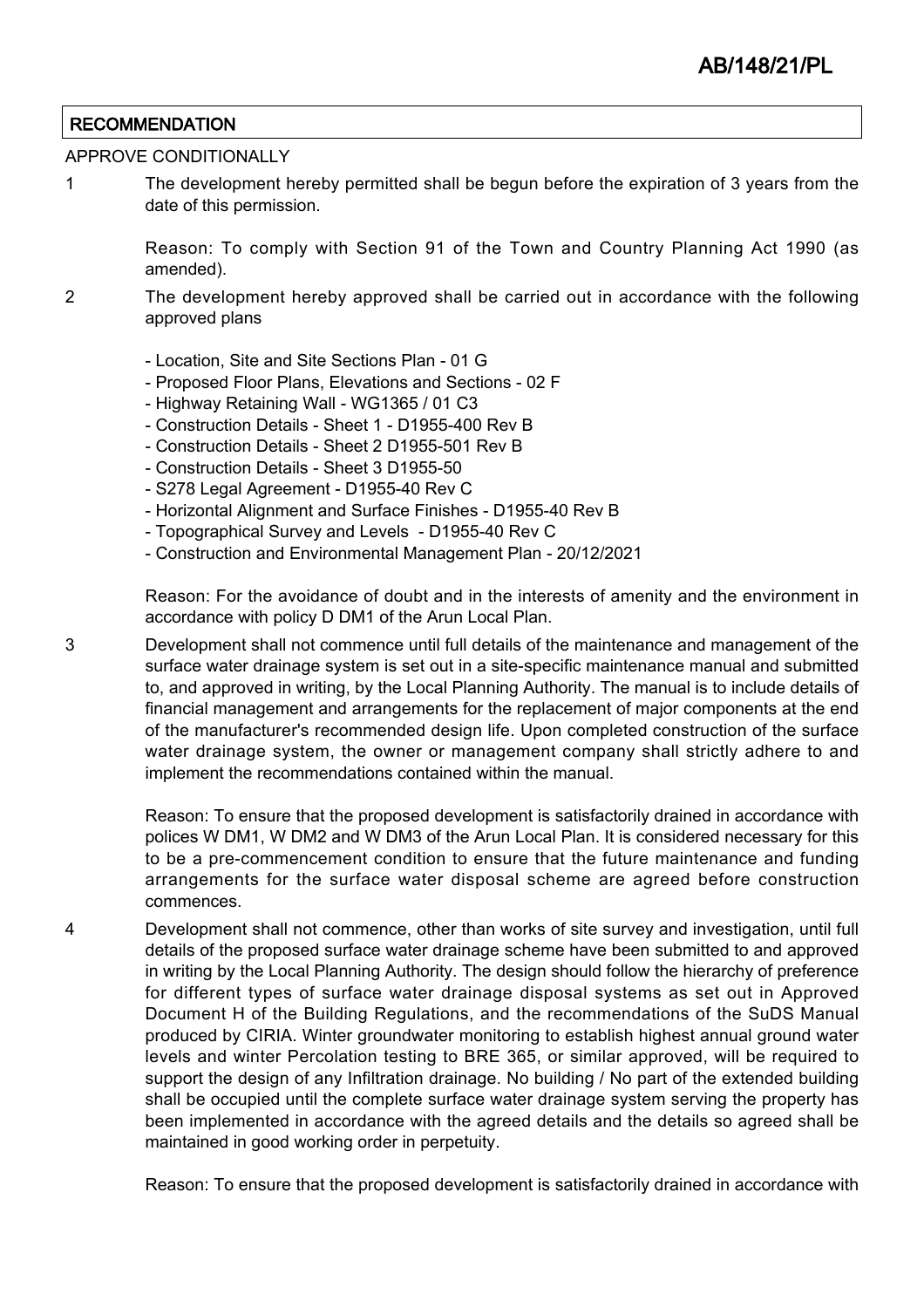## **RECOMMENDATION**

#### APPROVE CONDITIONALLY

1 The development hereby permitted shall be begun before the expiration of 3 years from the date of this permission.

> Reason: To comply with Section 91 of the Town and Country Planning Act 1990 (as amended).

- 2 The development hereby approved shall be carried out in accordance with the following approved plans
	- Location, Site and Site Sections Plan 01 G
	- Proposed Floor Plans, Elevations and Sections 02 F
	- Highway Retaining Wall WG1365 / 01 C3
	- Construction Details Sheet 1 D1955-400 Rev B
	- Construction Details Sheet 2 D1955-501 Rev B
	- Construction Details Sheet 3 D1955-50
	- S278 Legal Agreement D1955-40 Rev C
	- Horizontal Alignment and Surface Finishes D1955-40 Rev B
	- Topographical Survey and Levels D1955-40 Rev C
	- Construction and Environmental Management Plan 20/12/2021

Reason: For the avoidance of doubt and in the interests of amenity and the environment in accordance with policy D DM1 of the Arun Local Plan.

3 Development shall not commence until full details of the maintenance and management of the surface water drainage system is set out in a site-specific maintenance manual and submitted to, and approved in writing, by the Local Planning Authority. The manual is to include details of financial management and arrangements for the replacement of major components at the end of the manufacturer's recommended design life. Upon completed construction of the surface water drainage system, the owner or management company shall strictly adhere to and implement the recommendations contained within the manual.

> Reason: To ensure that the proposed development is satisfactorily drained in accordance with polices W DM1, W DM2 and W DM3 of the Arun Local Plan. It is considered necessary for this to be a pre-commencement condition to ensure that the future maintenance and funding arrangements for the surface water disposal scheme are agreed before construction commences.

4 Development shall not commence, other than works of site survey and investigation, until full details of the proposed surface water drainage scheme have been submitted to and approved in writing by the Local Planning Authority. The design should follow the hierarchy of preference for different types of surface water drainage disposal systems as set out in Approved Document H of the Building Regulations, and the recommendations of the SuDS Manual produced by CIRIA. Winter groundwater monitoring to establish highest annual ground water levels and winter Percolation testing to BRE 365, or similar approved, will be required to support the design of any Infiltration drainage. No building / No part of the extended building shall be occupied until the complete surface water drainage system serving the property has been implemented in accordance with the agreed details and the details so agreed shall be maintained in good working order in perpetuity.

Reason: To ensure that the proposed development is satisfactorily drained in accordance with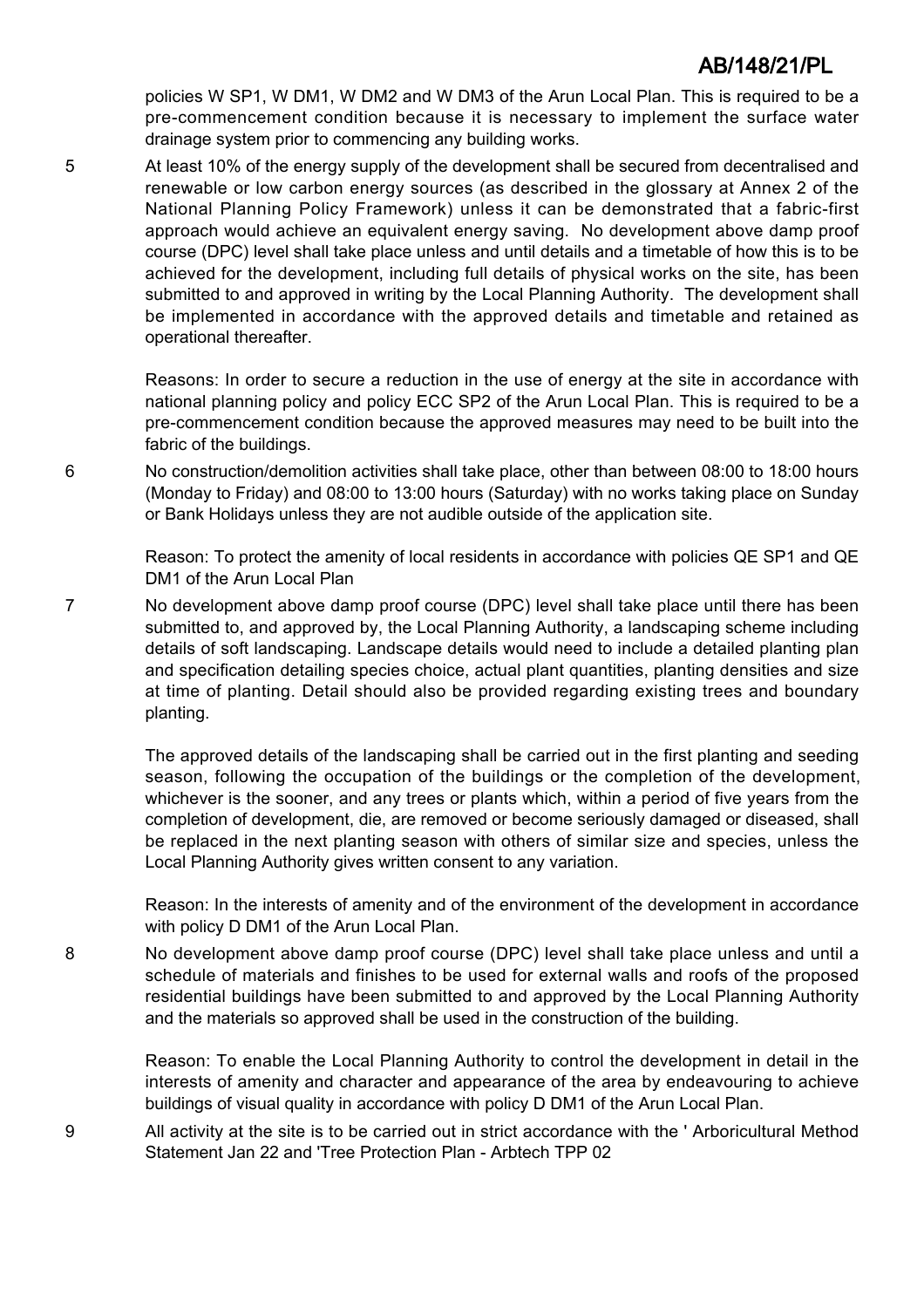policies W SP1, W DM1, W DM2 and W DM3 of the Arun Local Plan. This is required to be a pre-commencement condition because it is necessary to implement the surface water drainage system prior to commencing any building works.

5 At least 10% of the energy supply of the development shall be secured from decentralised and renewable or low carbon energy sources (as described in the glossary at Annex 2 of the National Planning Policy Framework) unless it can be demonstrated that a fabric-first approach would achieve an equivalent energy saving. No development above damp proof course (DPC) level shall take place unless and until details and a timetable of how this is to be achieved for the development, including full details of physical works on the site, has been submitted to and approved in writing by the Local Planning Authority. The development shall be implemented in accordance with the approved details and timetable and retained as operational thereafter.

> Reasons: In order to secure a reduction in the use of energy at the site in accordance with national planning policy and policy ECC SP2 of the Arun Local Plan. This is required to be a pre-commencement condition because the approved measures may need to be built into the fabric of the buildings.

6 No construction/demolition activities shall take place, other than between 08:00 to 18:00 hours (Monday to Friday) and 08:00 to 13:00 hours (Saturday) with no works taking place on Sunday or Bank Holidays unless they are not audible outside of the application site.

> Reason: To protect the amenity of local residents in accordance with policies QE SP1 and QE DM1 of the Arun Local Plan

7 No development above damp proof course (DPC) level shall take place until there has been submitted to, and approved by, the Local Planning Authority, a landscaping scheme including details of soft landscaping. Landscape details would need to include a detailed planting plan and specification detailing species choice, actual plant quantities, planting densities and size at time of planting. Detail should also be provided regarding existing trees and boundary planting.

> The approved details of the landscaping shall be carried out in the first planting and seeding season, following the occupation of the buildings or the completion of the development, whichever is the sooner, and any trees or plants which, within a period of five years from the completion of development, die, are removed or become seriously damaged or diseased, shall be replaced in the next planting season with others of similar size and species, unless the Local Planning Authority gives written consent to any variation.

> Reason: In the interests of amenity and of the environment of the development in accordance with policy D DM1 of the Arun Local Plan.

8 No development above damp proof course (DPC) level shall take place unless and until a schedule of materials and finishes to be used for external walls and roofs of the proposed residential buildings have been submitted to and approved by the Local Planning Authority and the materials so approved shall be used in the construction of the building.

> Reason: To enable the Local Planning Authority to control the development in detail in the interests of amenity and character and appearance of the area by endeavouring to achieve buildings of visual quality in accordance with policy D DM1 of the Arun Local Plan.

9 All activity at the site is to be carried out in strict accordance with the ' Arboricultural Method Statement Jan 22 and 'Tree Protection Plan - Arbtech TPP 02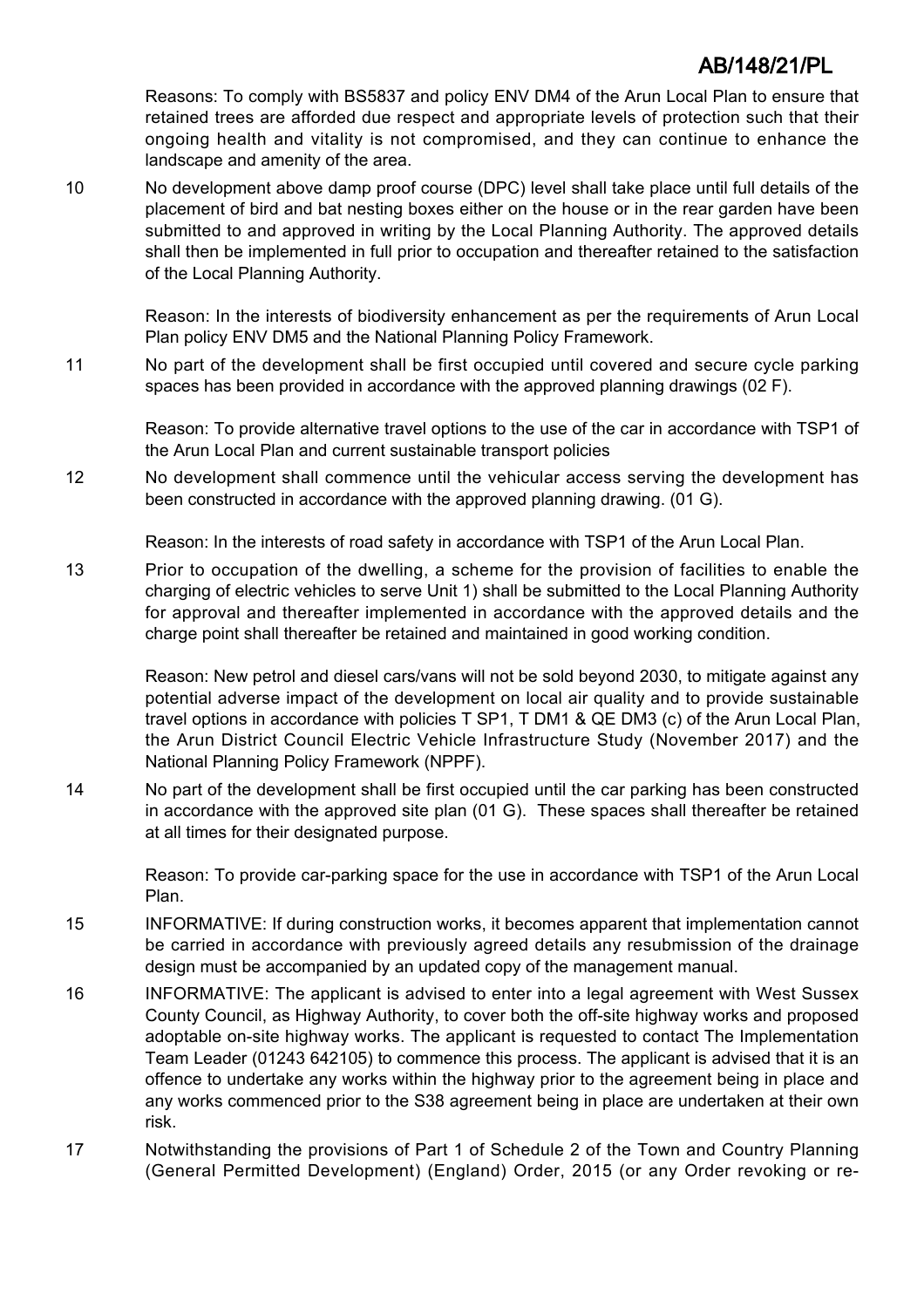Reasons: To comply with BS5837 and policy ENV DM4 of the Arun Local Plan to ensure that retained trees are afforded due respect and appropriate levels of protection such that their ongoing health and vitality is not compromised, and they can continue to enhance the landscape and amenity of the area.

10 No development above damp proof course (DPC) level shall take place until full details of the placement of bird and bat nesting boxes either on the house or in the rear garden have been submitted to and approved in writing by the Local Planning Authority. The approved details shall then be implemented in full prior to occupation and thereafter retained to the satisfaction of the Local Planning Authority.

Reason: In the interests of biodiversity enhancement as per the requirements of Arun Local Plan policy ENV DM5 and the National Planning Policy Framework.

11 No part of the development shall be first occupied until covered and secure cycle parking spaces has been provided in accordance with the approved planning drawings (02 F).

Reason: To provide alternative travel options to the use of the car in accordance with TSP1 of the Arun Local Plan and current sustainable transport policies

12 No development shall commence until the vehicular access serving the development has been constructed in accordance with the approved planning drawing. (01 G).

Reason: In the interests of road safety in accordance with TSP1 of the Arun Local Plan.

13 Prior to occupation of the dwelling, a scheme for the provision of facilities to enable the charging of electric vehicles to serve Unit 1) shall be submitted to the Local Planning Authority for approval and thereafter implemented in accordance with the approved details and the charge point shall thereafter be retained and maintained in good working condition.

Reason: New petrol and diesel cars/vans will not be sold beyond 2030, to mitigate against any potential adverse impact of the development on local air quality and to provide sustainable travel options in accordance with policies T SP1, T DM1 & QE DM3 (c) of the Arun Local Plan, the Arun District Council Electric Vehicle Infrastructure Study (November 2017) and the National Planning Policy Framework (NPPF).

14 No part of the development shall be first occupied until the car parking has been constructed in accordance with the approved site plan (01 G). These spaces shall thereafter be retained at all times for their designated purpose.

Reason: To provide car-parking space for the use in accordance with TSP1 of the Arun Local Plan.

- 15 INFORMATIVE: If during construction works, it becomes apparent that implementation cannot be carried in accordance with previously agreed details any resubmission of the drainage design must be accompanied by an updated copy of the management manual.
- 16 INFORMATIVE: The applicant is advised to enter into a legal agreement with West Sussex County Council, as Highway Authority, to cover both the off-site highway works and proposed adoptable on-site highway works. The applicant is requested to contact The Implementation Team Leader (01243 642105) to commence this process. The applicant is advised that it is an offence to undertake any works within the highway prior to the agreement being in place and any works commenced prior to the S38 agreement being in place are undertaken at their own risk.
- 17 Notwithstanding the provisions of Part 1 of Schedule 2 of the Town and Country Planning (General Permitted Development) (England) Order, 2015 (or any Order revoking or re-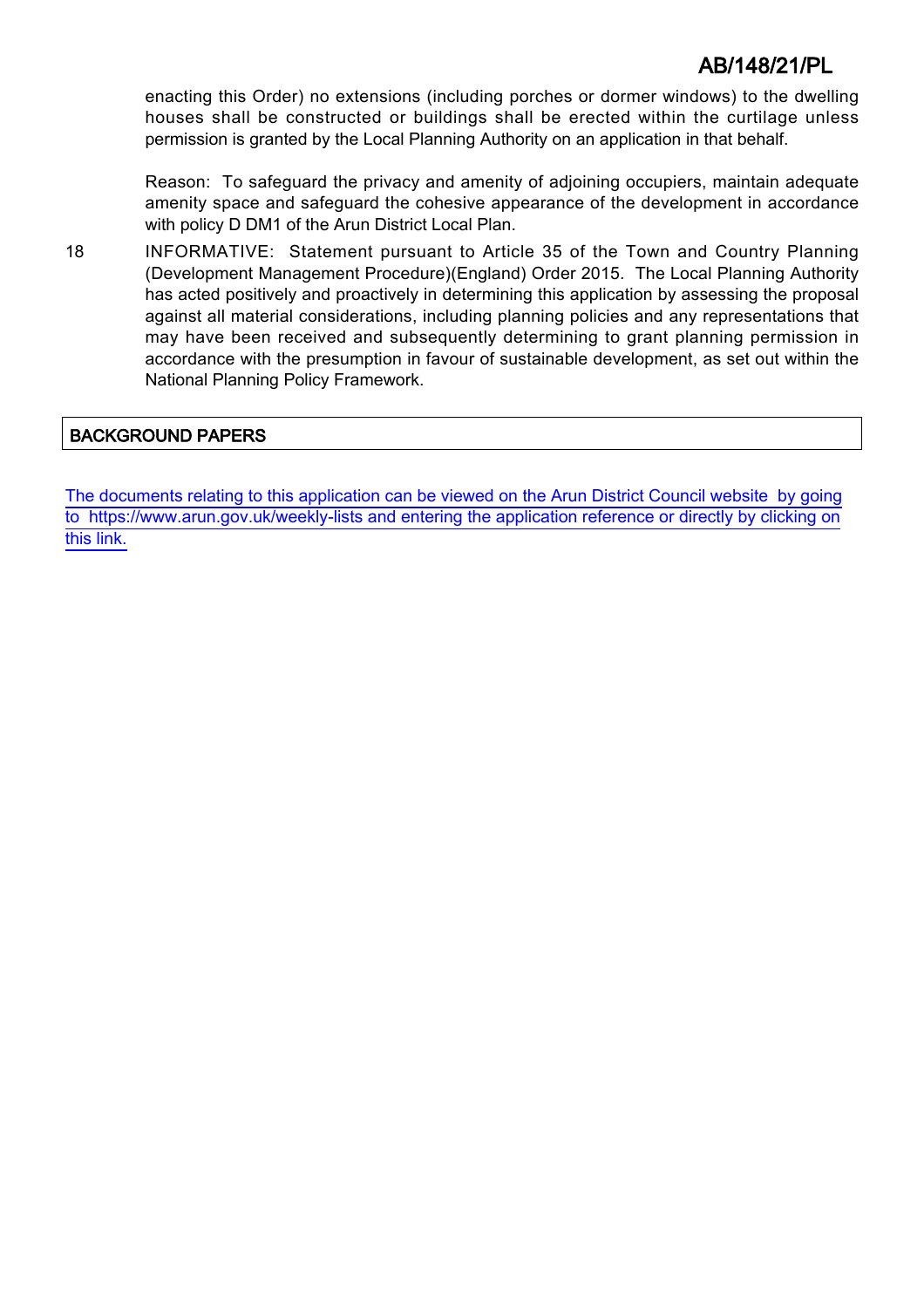enacting this Order) no extensions (including porches or dormer windows) to the dwelling houses shall be constructed or buildings shall be erected within the curtilage unless permission is granted by the Local Planning Authority on an application in that behalf.

Reason: To safeguard the privacy and amenity of adjoining occupiers, maintain adequate amenity space and safeguard the cohesive appearance of the development in accordance with policy D DM1 of the Arun District Local Plan.

18 INFORMATIVE: Statement pursuant to Article 35 of the Town and Country Planning (Development Management Procedure)(England) Order 2015. The Local Planning Authority has acted positively and proactively in determining this application by assessing the proposal against all material considerations, including planning policies and any representations that may have been received and subsequently determining to grant planning permission in accordance with the presumption in favour of sustainable development, as set out within the National Planning Policy Framework.

## BACKGROUND PAPERS

[The documents relating to this application can be viewed on the Arun District Council website by going](http://www1.arun.gov.uk/planrec/index.cfm?tpkey=eOcella&user_key_1=AB/148/21/PL&keyscheme=planning) [to https://www.arun.gov.uk/weekly-lists and entering the application reference or directly by clicking on](http://www1.arun.gov.uk/planrec/index.cfm?tpkey=eOcella&user_key_1=AB/148/21/PL&keyscheme=planning) [this link.](http://www1.arun.gov.uk/planrec/index.cfm?tpkey=eOcella&user_key_1=AB/148/21/PL&keyscheme=planning)